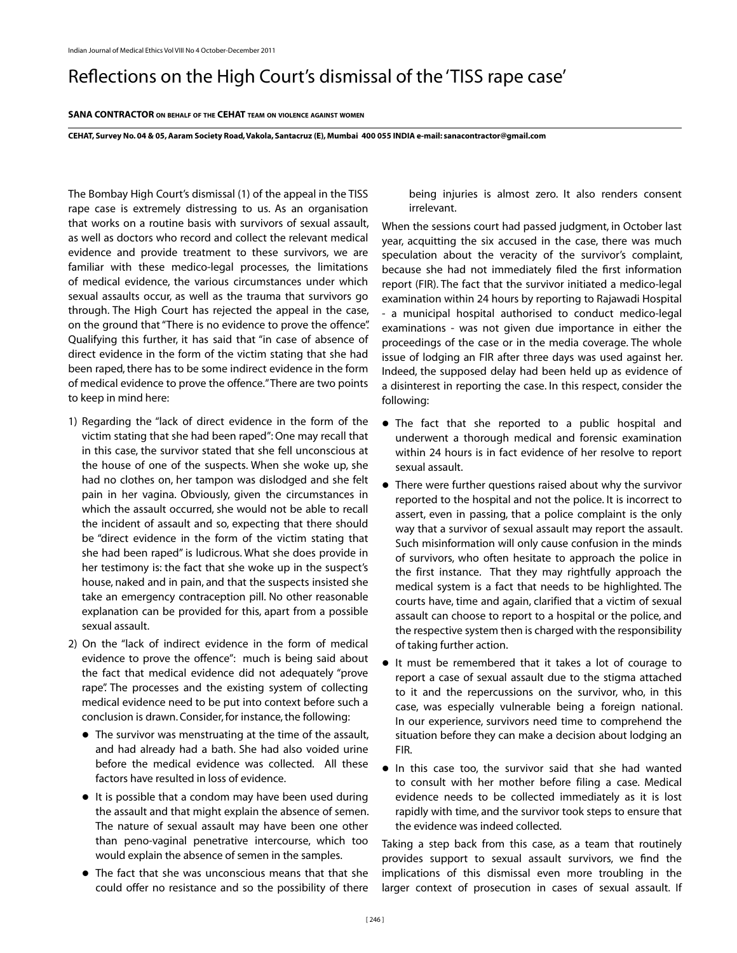## Reflections on the High Court's dismissal of the 'TISS rape case'

## **Sana Contractor on behalf of the cehat team on violence against women**

CEHAT, Survey No. 04 & 05, Aaram Society Road, Vakola, Santacruz (E), Mumbai 400 055 INDIA e-mail: sanacontractor@gmail.com

The Bombay High Court's dismissal (1) of the appeal in the TISS rape case is extremely distressing to us. As an organisation that works on a routine basis with survivors of sexual assault, as well as doctors who record and collect the relevant medical evidence and provide treatment to these survivors, we are familiar with these medico-legal processes, the limitations of medical evidence, the various circumstances under which sexual assaults occur, as well as the trauma that survivors go through. The High Court has rejected the appeal in the case, on the ground that "There is no evidence to prove the offence". Qualifying this further, it has said that "in case of absence of direct evidence in the form of the victim stating that she had been raped, there has to be some indirect evidence in the form of medical evidence to prove the offence." There are two points to keep in mind here:

- 1) Regarding the "lack of direct evidence in the form of the victim stating that she had been raped": One may recall that in this case, the survivor stated that she fell unconscious at the house of one of the suspects. When she woke up, she had no clothes on, her tampon was dislodged and she felt pain in her vagina. Obviously, given the circumstances in which the assault occurred, she would not be able to recall the incident of assault and so, expecting that there should be "direct evidence in the form of the victim stating that she had been raped" is ludicrous. What she does provide in her testimony is: the fact that she woke up in the suspect's house, naked and in pain, and that the suspects insisted she take an emergency contraception pill. No other reasonable explanation can be provided for this, apart from a possible sexual assault.
- 2) On the "lack of indirect evidence in the form of medical evidence to prove the offence": much is being said about the fact that medical evidence did not adequately "prove rape". The processes and the existing system of collecting medical evidence need to be put into context before such a conclusion is drawn. Consider, for instance, the following:
	- The survivor was menstruating at the time of the assault, l and had already had a bath. She had also voided urine before the medical evidence was collected. All these factors have resulted in loss of evidence.
	- It is possible that a condom may have been used during the assault and that might explain the absence of semen. The nature of sexual assault may have been one other than peno-vaginal penetrative intercourse, which too would explain the absence of semen in the samples.
	- The fact that she was unconscious means that that she l could offer no resistance and so the possibility of there

being injuries is almost zero. It also renders consent irrelevant.

When the sessions court had passed judgment, in October last year, acquitting the six accused in the case, there was much speculation about the veracity of the survivor's complaint, because she had not immediately filed the first information report (FIR). The fact that the survivor initiated a medico-legal examination within 24 hours by reporting to Rajawadi Hospital - a municipal hospital authorised to conduct medico-legal examinations - was not given due importance in either the proceedings of the case or in the media coverage. The whole issue of lodging an FIR after three days was used against her. Indeed, the supposed delay had been held up as evidence of a disinterest in reporting the case. In this respect, consider the following:

- The fact that she reported to a public hospital and l underwent a thorough medical and forensic examination within 24 hours is in fact evidence of her resolve to report sexual assault.
- There were further questions raised about why the survivor l reported to the hospital and not the police. It is incorrect to assert, even in passing, that a police complaint is the only way that a survivor of sexual assault may report the assault. Such misinformation will only cause confusion in the minds of survivors, who often hesitate to approach the police in the first instance. That they may rightfully approach the medical system is a fact that needs to be highlighted. The courts have, time and again, clarified that a victim of sexual assault can choose to report to a hospital or the police, and the respective system then is charged with the responsibility of taking further action.
- It must be remembered that it takes a lot of courage to report a case of sexual assault due to the stigma attached to it and the repercussions on the survivor, who, in this case, was especially vulnerable being a foreign national. In our experience, survivors need time to comprehend the situation before they can make a decision about lodging an FIR.
- In this case too, the survivor said that she had wanted to consult with her mother before filing a case. Medical evidence needs to be collected immediately as it is lost rapidly with time, and the survivor took steps to ensure that the evidence was indeed collected.

Taking a step back from this case, as a team that routinely provides support to sexual assault survivors, we find the implications of this dismissal even more troubling in the larger context of prosecution in cases of sexual assault. If